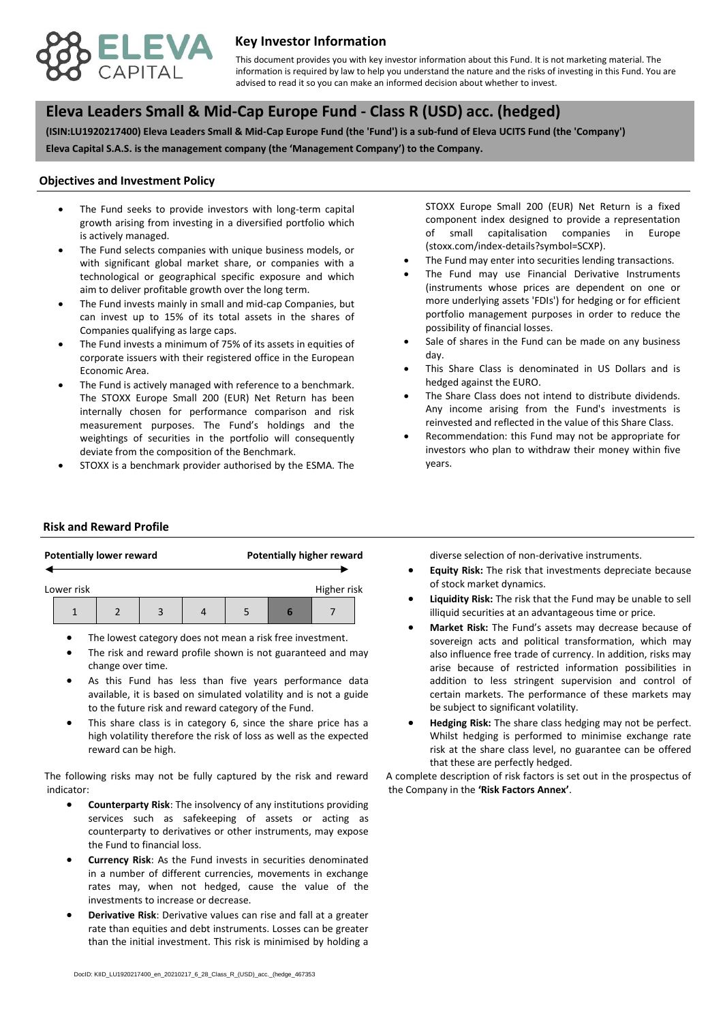

## **Key Investor Information**

advised to read it so you can make an informed decision about whether to invest. This document provides you with key investor information about this Fund. It is not marketing material. The information is required by law to help you understand the nature and the risks of investing in this Fund. You are

# **, Eleva Leaders Small & Mid-Cap Europe Fund - Class R (USD) acc. (hedged)**

**(ISIN:LU1920217400) Eleva Leaders Small & Mid-Cap Europe Fund (the 'Fund') is a sub-fund of Eleva UCITS Fund (the 'Company') Eleva Capital S.A.S. is the management company (the 'Management Company') to the Company.**

#### **Objectives and Investment Policy**

- is actively managed. The Fund seeks to provide investors with long-term capital growth arising from investing in a diversified portfolio which
- The Fund selects companies with unique business models, or with significant global market share, or companies with a technological or geographical specific exposure and which aim to deliver profitable growth over the long term.
- The Fund invests mainly in small and mid-cap Companies, but can invest up to 15% of its total assets in the shares of Companies qualifying as large caps.
- The Fund invests a minimum of 75% of its assets in equities of corporate issuers with their registered office in the European Economic Area.
- The Fund is actively managed with reference to a benchmark. The STOXX Europe Small 200 (EUR) Net Return has been internally chosen for performance comparison and risk measurement purposes. The Fund's holdings and the weightings of securities in the portfolio will consequently deviate from the composition of the Benchmark.
- STOXX is a benchmark provider authorised by the ESMA. The

STOXX Europe Small 200 (EUR) Net Return is a fixed component index designed to provide a representation of small capitalisation companies in Europe (stoxx.com/index-details?symbol=SCXP).

- The Fund may enter into securities lending transactions.
- The Fund may use Financial Derivative Instruments (instruments whose prices are dependent on one or more underlying assets 'FDIs') for hedging or for efficient portfolio management purposes in order to reduce the possibility of financial losses.
- Sale of shares in the Fund can be made on any business day.
- This Share Class is denominated in US Dollars and is hedged against the EURO.
- The Share Class does not intend to distribute dividends. Any income arising from the Fund's investments is reinvested and reflected in the value of this Share Class.
- Recommendation: this Fund may not be appropriate for investors who plan to withdraw their money within five years.

#### **Risk and Reward Profile**

|            | <b>Potentially lower reward</b> |  |  | <b>Potentially higher reward</b> |  |             |  |  |
|------------|---------------------------------|--|--|----------------------------------|--|-------------|--|--|
| Lower risk |                                 |  |  |                                  |  | Higher risk |  |  |
|            |                                 |  |  |                                  |  |             |  |  |

- The lowest category does not mean a risk free investment.
- The risk and reward profile shown is not guaranteed and may change over time.
- As this Fund has less than five years performance data available, it is based on simulated volatility and is not a guide to the future risk and reward category of the Fund.
- This share class is in category 6, since the share price has a high volatility therefore the risk of loss as well as the expected reward can be high.

The following risks may not be fully captured by the risk and reward indicator:

- **Counterparty Risk**: The insolvency of any institutions providing services such as safekeeping of assets or acting as counterparty to derivatives or other instruments, may expose the Fund to financial loss.
- **Currency Risk**: As the Fund invests in securities denominated in a number of different currencies, movements in exchange rates may, when not hedged, cause the value of the investments to increase or decrease.
- **Derivative Risk**: Derivative values can rise and fall at a greater rate than equities and debt instruments. Losses can be greater than the initial investment. This risk is minimised by holding a

diverse selection of non-derivative instruments.

- **Equity Risk:** The risk that investments depreciate because of stock market dynamics.
- **Liquidity Risk:** The risk that the Fund may be unable to sell illiquid securities at an advantageous time or price.
- **Market Risk:** The Fund's assets may decrease because of sovereign acts and political transformation, which may also influence free trade of currency. In addition, risks may arise because of restricted information possibilities in addition to less stringent supervision and control of certain markets. The performance of these markets may be subject to significant volatility.
- **Hedging Risk:** The share class hedging may not be perfect. Whilst hedging is performed to minimise exchange rate risk at the share class level, no guarantee can be offered that these are perfectly hedged.

A complete description of risk factors is set out in the prospectus of the Company in the **'Risk Factors Annex'**.